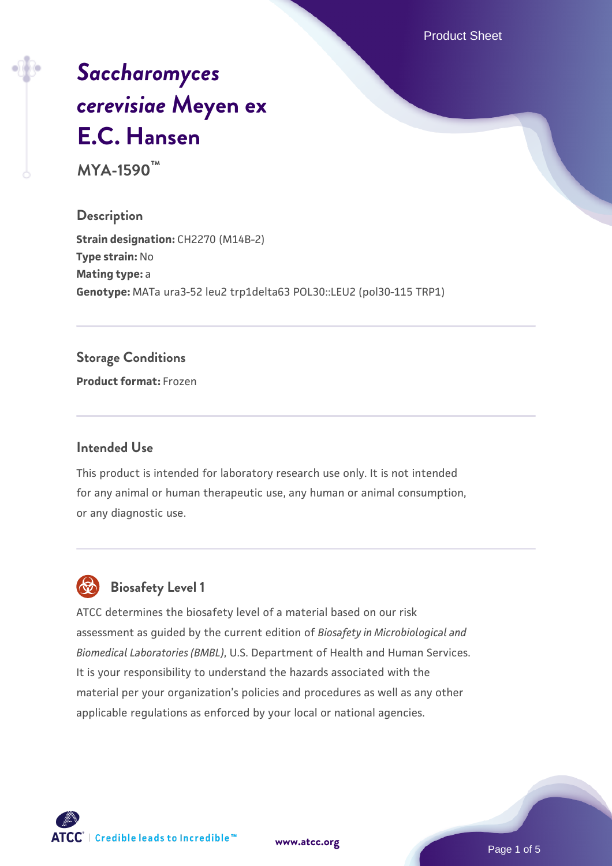Product Sheet

# *[Saccharomyces](https://www.atcc.org/products/mya-1590) [cerevisiae](https://www.atcc.org/products/mya-1590)* **[Meyen ex](https://www.atcc.org/products/mya-1590) [E.C. Hansen](https://www.atcc.org/products/mya-1590)**

**MYA-1590™**

**Description Strain designation: CH2270 (M14B-2) Type strain:** No **Mating type:** a **Genotype:** MATa ura3-52 leu2 trp1delta63 POL30::LEU2 (pol30-115 TRP1)

#### **Storage Conditions**

**Product format:** Frozen

#### **Intended Use**

This product is intended for laboratory research use only. It is not intended for any animal or human therapeutic use, any human or animal consumption, or any diagnostic use.



#### **Biosafety Level 1**

ATCC determines the biosafety level of a material based on our risk assessment as guided by the current edition of *Biosafety in Microbiological and Biomedical Laboratories (BMBL)*, U.S. Department of Health and Human Services. It is your responsibility to understand the hazards associated with the material per your organization's policies and procedures as well as any other applicable regulations as enforced by your local or national agencies.

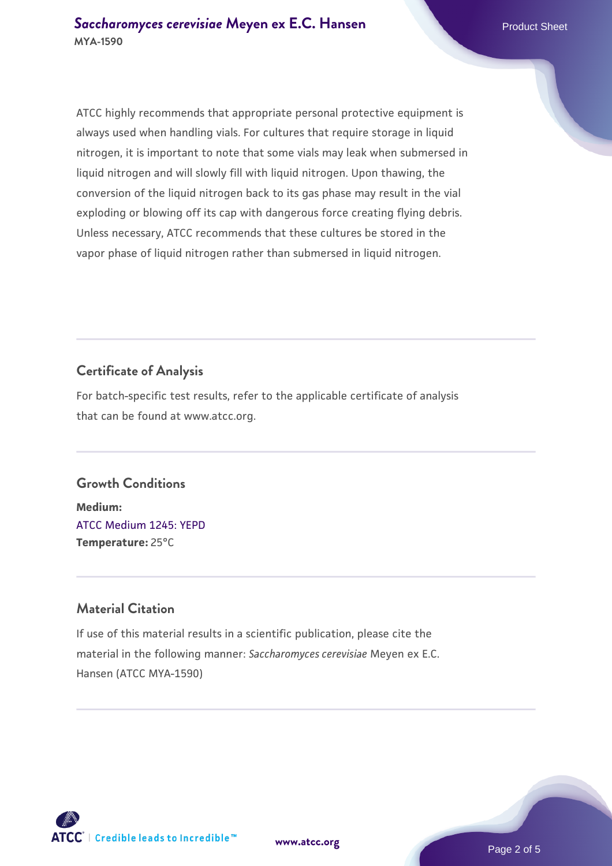ATCC highly recommends that appropriate personal protective equipment is always used when handling vials. For cultures that require storage in liquid nitrogen, it is important to note that some vials may leak when submersed in liquid nitrogen and will slowly fill with liquid nitrogen. Upon thawing, the conversion of the liquid nitrogen back to its gas phase may result in the vial exploding or blowing off its cap with dangerous force creating flying debris. Unless necessary, ATCC recommends that these cultures be stored in the vapor phase of liquid nitrogen rather than submersed in liquid nitrogen.

#### **Certificate of Analysis**

For batch-specific test results, refer to the applicable certificate of analysis that can be found at www.atcc.org.

#### **Growth Conditions**

**Medium:**  [ATCC Medium 1245: YEPD](https://www.atcc.org/-/media/product-assets/documents/microbial-media-formulations/1/2/4/5/atcc-medium-1245.pdf?rev=705ca55d1b6f490a808a965d5c072196) **Temperature:** 25°C

#### **Material Citation**

If use of this material results in a scientific publication, please cite the material in the following manner: *Saccharomyces cerevisiae* Meyen ex E.C. Hansen (ATCC MYA-1590)

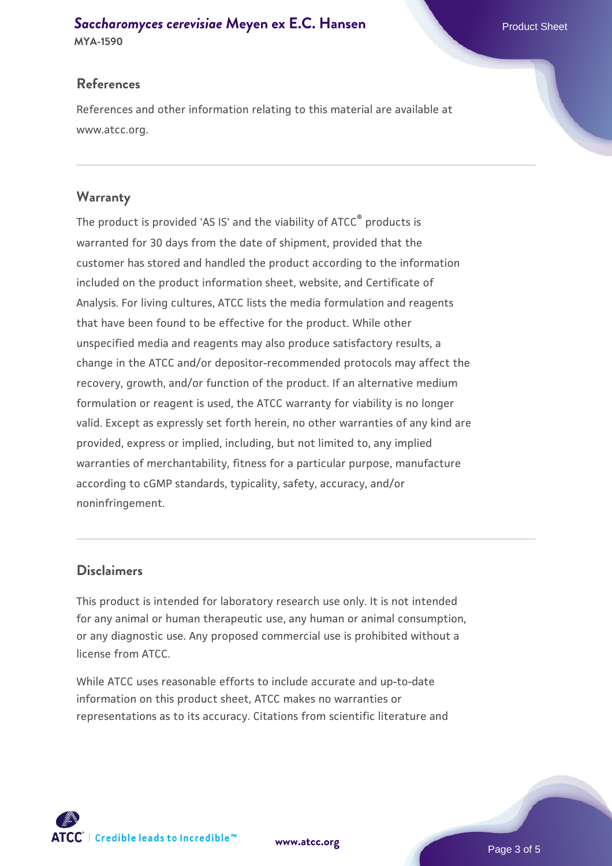## **[Saccharomyces cerevisiae](https://www.atcc.org/products/mya-1590)** [Meyen ex E.C. Hansen](https://www.atcc.org/products/mya-1590)

**MYA-1590**

#### **References**

References and other information relating to this material are available at www.atcc.org.

#### **Warranty**

The product is provided 'AS IS' and the viability of ATCC® products is warranted for 30 days from the date of shipment, provided that the customer has stored and handled the product according to the information included on the product information sheet, website, and Certificate of Analysis. For living cultures, ATCC lists the media formulation and reagents that have been found to be effective for the product. While other unspecified media and reagents may also produce satisfactory results, a change in the ATCC and/or depositor-recommended protocols may affect the recovery, growth, and/or function of the product. If an alternative medium formulation or reagent is used, the ATCC warranty for viability is no longer valid. Except as expressly set forth herein, no other warranties of any kind are provided, express or implied, including, but not limited to, any implied warranties of merchantability, fitness for a particular purpose, manufacture according to cGMP standards, typicality, safety, accuracy, and/or noninfringement.

#### **Disclaimers**

This product is intended for laboratory research use only. It is not intended for any animal or human therapeutic use, any human or animal consumption, or any diagnostic use. Any proposed commercial use is prohibited without a license from ATCC.

While ATCC uses reasonable efforts to include accurate and up-to-date information on this product sheet, ATCC makes no warranties or representations as to its accuracy. Citations from scientific literature and

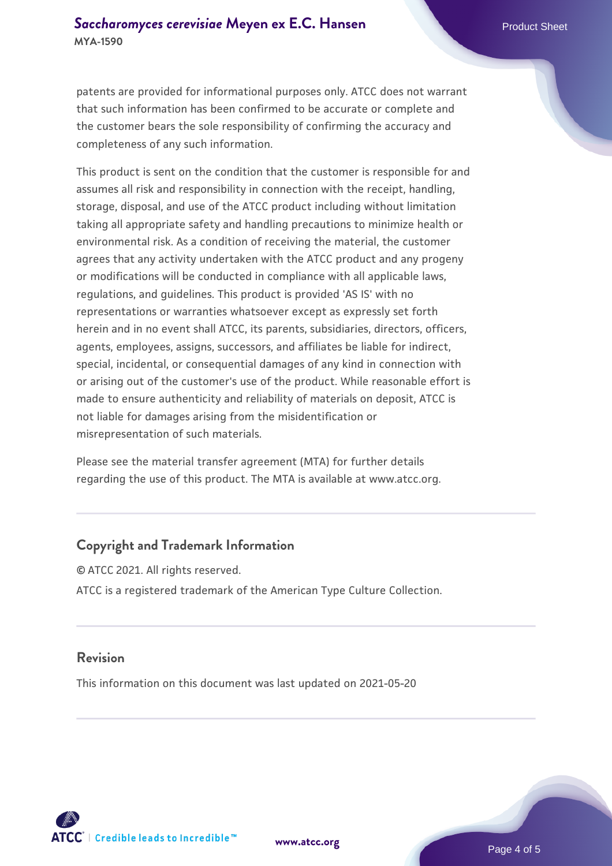patents are provided for informational purposes only. ATCC does not warrant that such information has been confirmed to be accurate or complete and the customer bears the sole responsibility of confirming the accuracy and completeness of any such information.

This product is sent on the condition that the customer is responsible for and assumes all risk and responsibility in connection with the receipt, handling, storage, disposal, and use of the ATCC product including without limitation taking all appropriate safety and handling precautions to minimize health or environmental risk. As a condition of receiving the material, the customer agrees that any activity undertaken with the ATCC product and any progeny or modifications will be conducted in compliance with all applicable laws, regulations, and guidelines. This product is provided 'AS IS' with no representations or warranties whatsoever except as expressly set forth herein and in no event shall ATCC, its parents, subsidiaries, directors, officers, agents, employees, assigns, successors, and affiliates be liable for indirect, special, incidental, or consequential damages of any kind in connection with or arising out of the customer's use of the product. While reasonable effort is made to ensure authenticity and reliability of materials on deposit, ATCC is not liable for damages arising from the misidentification or misrepresentation of such materials.

Please see the material transfer agreement (MTA) for further details regarding the use of this product. The MTA is available at www.atcc.org.

#### **Copyright and Trademark Information**

© ATCC 2021. All rights reserved. ATCC is a registered trademark of the American Type Culture Collection.

#### **Revision**

This information on this document was last updated on 2021-05-20



**[www.atcc.org](http://www.atcc.org)**